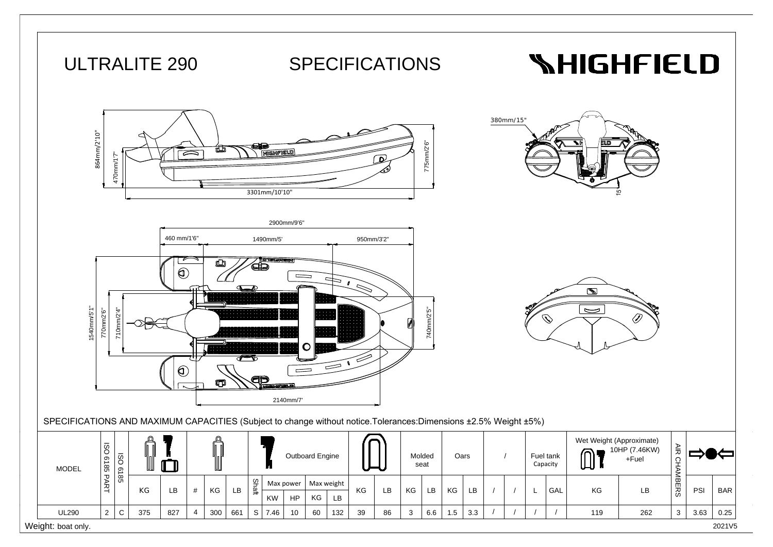

| ELD<br>5<br>Ø<br>et Weight (Approximate)<br><b>AIR CHAMBERS</b><br>10HP (7.46KW)<br>+Fuel<br><b>BAR</b><br>KG<br>PSI<br>LB<br>0.25<br>119<br>262<br>3.63<br>3 | <b>IGHFIELD</b> |  |  |
|---------------------------------------------------------------------------------------------------------------------------------------------------------------|-----------------|--|--|
|                                                                                                                                                               |                 |  |  |
|                                                                                                                                                               |                 |  |  |
|                                                                                                                                                               |                 |  |  |
|                                                                                                                                                               |                 |  |  |
|                                                                                                                                                               |                 |  |  |